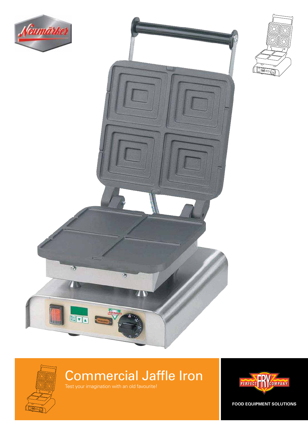



 $\Box$ oig **LEEP** 

## <u>oja</u> oin  $\overline{\Box}$

### Commercial Jaffle Iron Test your imagination with an old favourite!

PERFECT POWPANY

**FOOD EQUIPMENT SOLUTIONS**